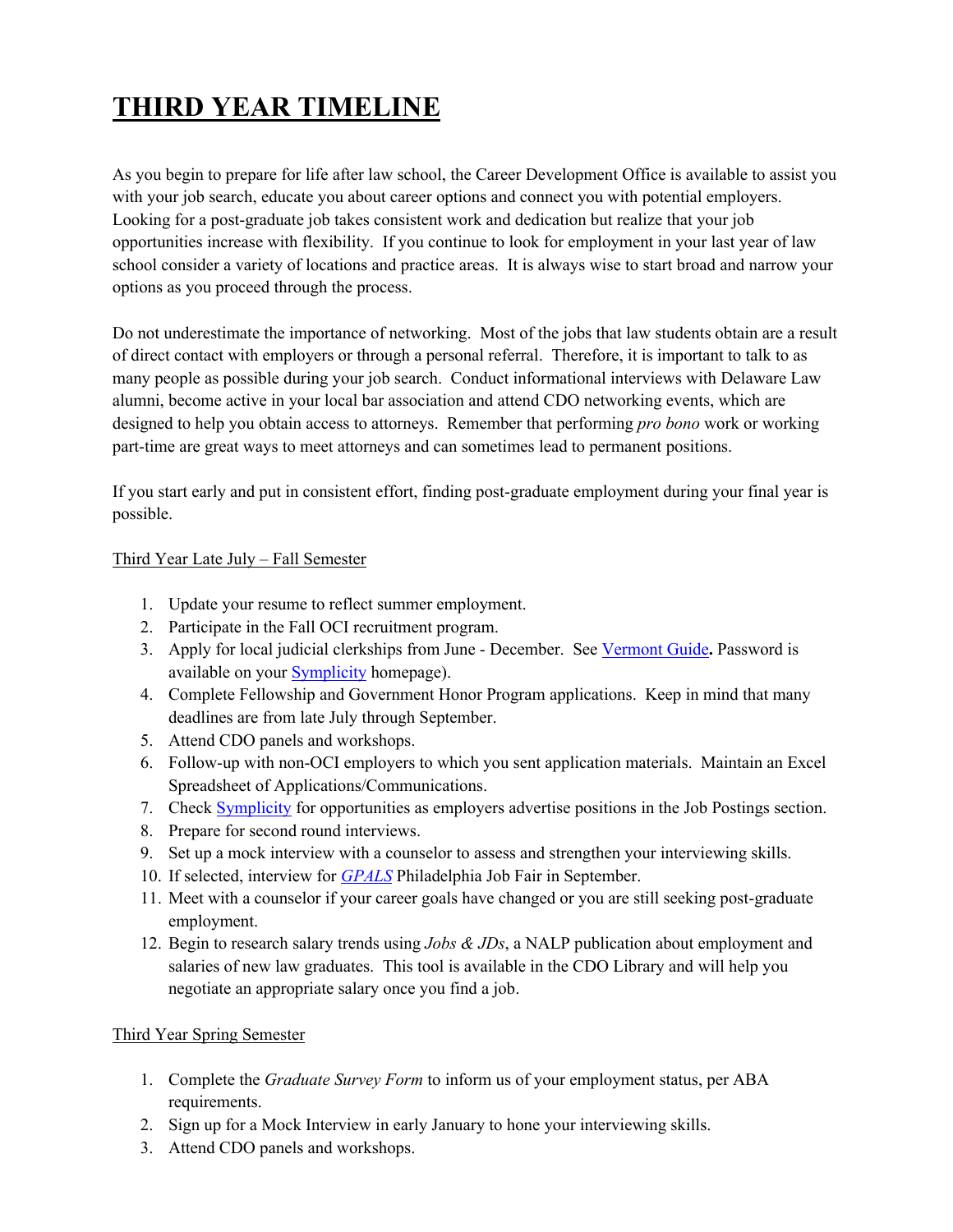## **THIRD YEAR TIMELINE**

As you begin to prepare for life after law school, the Career Development Office is available to assist you with your job search, educate you about career options and connect you with potential employers. Looking for a post-graduate job takes consistent work and dedication but realize that your job opportunities increase with flexibility. If you continue to look for employment in your last year of law school consider a variety of locations and practice areas. It is always wise to start broad and narrow your options as you proceed through the process.

Do not underestimate the importance of networking. Most of the jobs that law students obtain are a result of direct contact with employers or through a personal referral. Therefore, it is important to talk to as many people as possible during your job search. Conduct informational interviews with Delaware Law alumni, become active in your local bar association and attend CDO networking events, which are designed to help you obtain access to attorneys. Remember that performing *pro bono* work or working part-time are great ways to meet attorneys and can sometimes lead to permanent positions.

If you start early and put in consistent effort, finding post-graduate employment during your final year is possible.

## Third Year Late July – Fall Semester

- 1. Update your resume to reflect summer employment.
- 2. Participate in the Fall OCI recruitment program.
- 3. Apply for local judicial clerkships from June December. See Vermont Guide**.** Password is available on your Symplicity homepage).
- 4. Complete Fellowship and Government Honor Program applications. Keep in mind that many deadlines are from late July through September.
- 5. Attend CDO panels and workshops.
- 6. Follow-up with non-OCI employers to which you sent application materials. Maintain an Excel Spreadsheet of Applications/Communications.
- 7. Check **Symplicity** for opportunities as employers advertise positions in the Job Postings section.
- 8. Prepare for second round interviews.
- 9. Set up a mock interview with a counselor to assess and strengthen your interviewing skills.
- 10. If selected, interview for *GPALS* Philadelphia Job Fair in September.
- 11. Meet with a counselor if your career goals have changed or you are still seeking post-graduate employment.
- 12. Begin to research salary trends using *Jobs & JDs*, a NALP publication about employment and salaries of new law graduates. This tool is available in the CDO Library and will help you negotiate an appropriate salary once you find a job.

## Third Year Spring Semester

- 1. Complete the *Graduate Survey Form* to inform us of your employment status, per ABA requirements.
- 2. Sign up for a Mock Interview in early January to hone your interviewing skills.
- 3. Attend CDO panels and workshops.